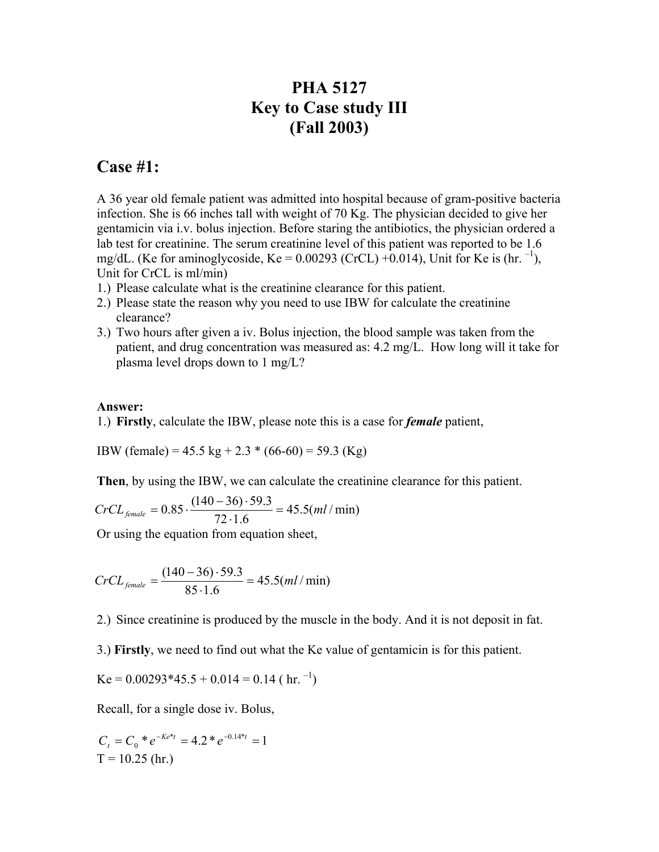## **PHA 5127 Key to Case study III (Fall 2003)**

## **Case #1:**

A 36 year old female patient was admitted into hospital because of gram-positive bacteria infection. She is 66 inches tall with weight of 70 Kg. The physician decided to give her gentamicin via i.v. bolus injection. Before staring the antibiotics, the physician ordered a lab test for creatinine. The serum creatinine level of this patient was reported to be 1.6 mg/dL. (Ke for aminoglycoside, Ke =  $0.00293$  (CrCL) +0.014), Unit for Ke is (hr.  $^{-1}$ ), Unit for CrCL is ml/min)

- 1.) Please calculate what is the creatinine clearance for this patient.
- 2.) Please state the reason why you need to use IBW for calculate the creatinine clearance?
- 3.) Two hours after given a iv. Bolus injection, the blood sample was taken from the patient, and drug concentration was measured as: 4.2 mg/L. How long will it take for plasma level drops down to 1 mg/L?

## **Answer:**

1.) **Firstly**, calculate the IBW, please note this is a case for *female* patient,

IBW (female) = 45.5 kg + 2.3 \* (66-60) = 59.3 (Kg)

**Then**, by using the IBW, we can calculate the creatinine clearance for this patient.

$$
CrCL_{\text{female}} = 0.85 \cdot \frac{(140 - 36) \cdot 59.3}{72 \cdot 1.6} = 45.5 \cdot (ml / \text{min})
$$

Or using the equation from equation sheet,

$$
CrCL_{\text{female}} = \frac{(140 - 36) \cdot 59.3}{85 \cdot 1.6} = 45.5 \, (ml \, / \, \text{min})
$$

2.) Since creatinine is produced by the muscle in the body. And it is not deposit in fat.

3.) **Firstly**, we need to find out what the Ke value of gentamicin is for this patient.

$$
Ke = 0.00293*45.5 + 0.014 = 0.14 (hr.-1)
$$

Recall, for a single dose iv. Bolus,

$$
C_t = C_0 * e^{-Ke^{*t}} = 4.2 * e^{-0.14*t} = 1
$$
  
T = 10.25 (hr.)